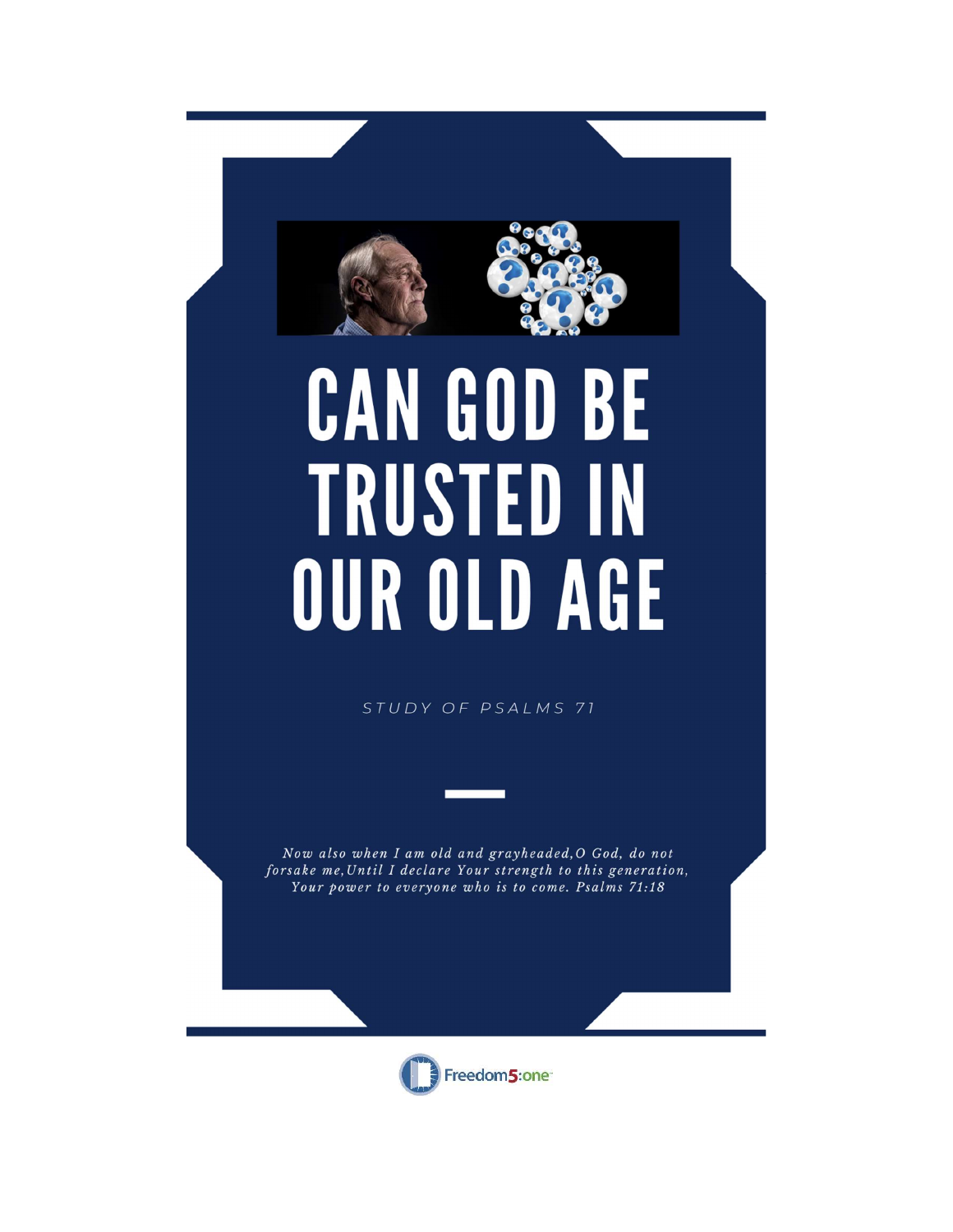

# CAN GOD BE **TRUSTED IN** OUR OLD AGE

STUDY OF PSALMS 71

Now also when I am old and grayheaded, O God, do not forsake me, Until I declare Your strength to this generation, Your power to everyone who is to come. Psalms 71:18

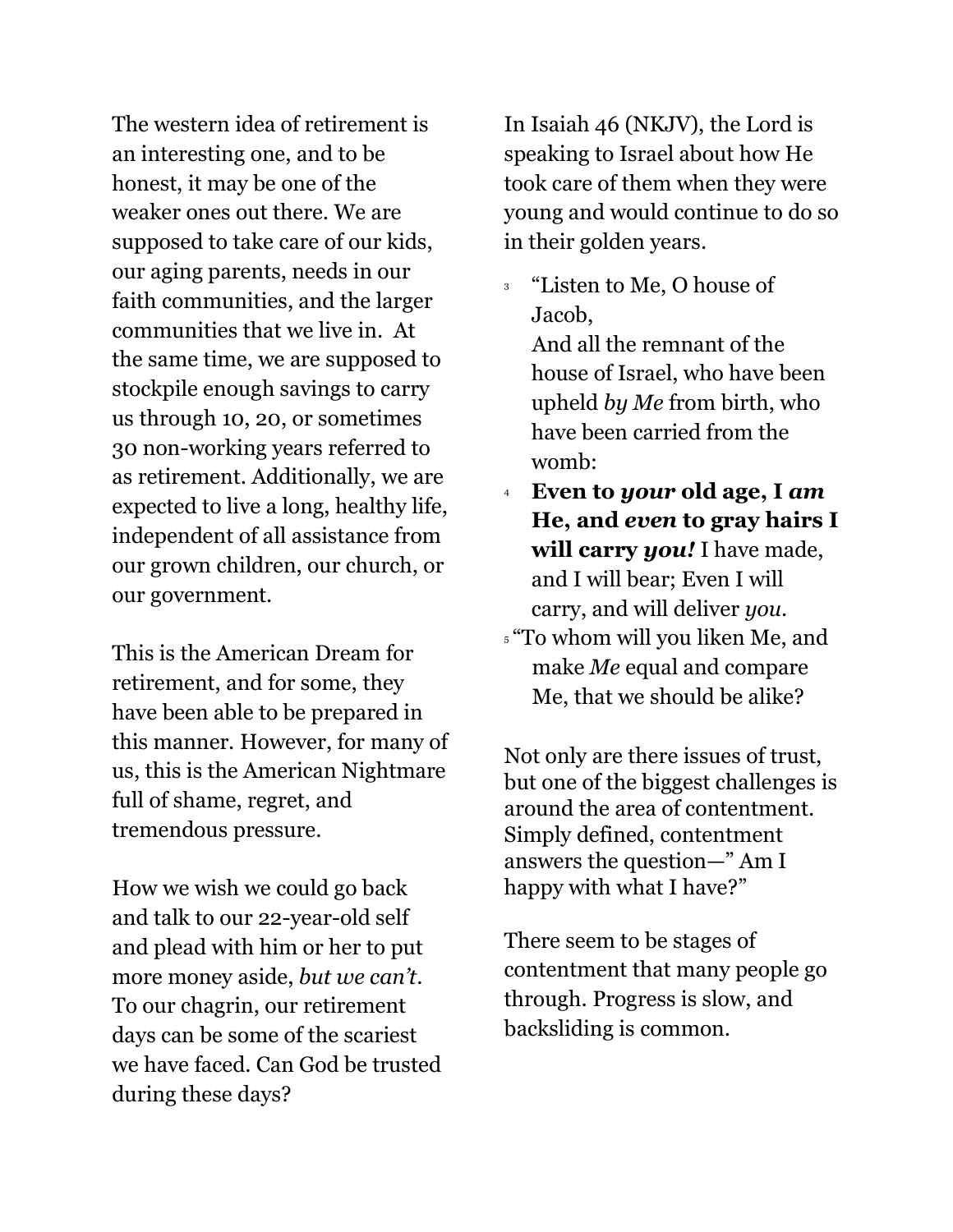The western idea of retirement is an interesting one, and to be honest, it may be one of the weaker ones out there. We are supposed to take care of our kids, our aging parents, needs in our faith communities, and the larger communities that we live in. At the same time, we are supposed to stockpile enough savings to carry us through 10, 20, or sometimes 30 non-working years referred to as retirement. Additionally, we are expected to live a long, healthy life, independent of all assistance from our grown children, our church, or our government.

This is the American Dream for retirement, and for some, they have been able to be prepared in this manner. However, for many of us, this is the American Nightmare full of shame, regret, and tremendous pressure.

How we wish we could go back and talk to our 22-year-old self and plead with him or her to put more money aside, but we can't. To our chagrin, our retirement days can be some of the scariest we have faced. Can God be trusted during these days?

In Isaiah 46 (NKJV), the Lord is speaking to Israel about how He took care of them when they were young and would continue to do so in their golden years.

<sup>3</sup> "Listen to Me, O house of Jacob,

And all the remnant of the house of Israel, who have been upheld by Me from birth, who have been carried from the womb:

- Even to your old age, I am He, and even to gray hairs I will carry you! I have made, and I will bear; Even I will carry, and will deliver you.
- <sup>5</sup> "To whom will you liken Me, and make Me equal and compare Me, that we should be alike?

Not only are there issues of trust, but one of the biggest challenges is around the area of contentment. Simply defined, contentment answers the question—" Am I happy with what I have?"

There seem to be stages of contentment that many people go through. Progress is slow, and backsliding is common.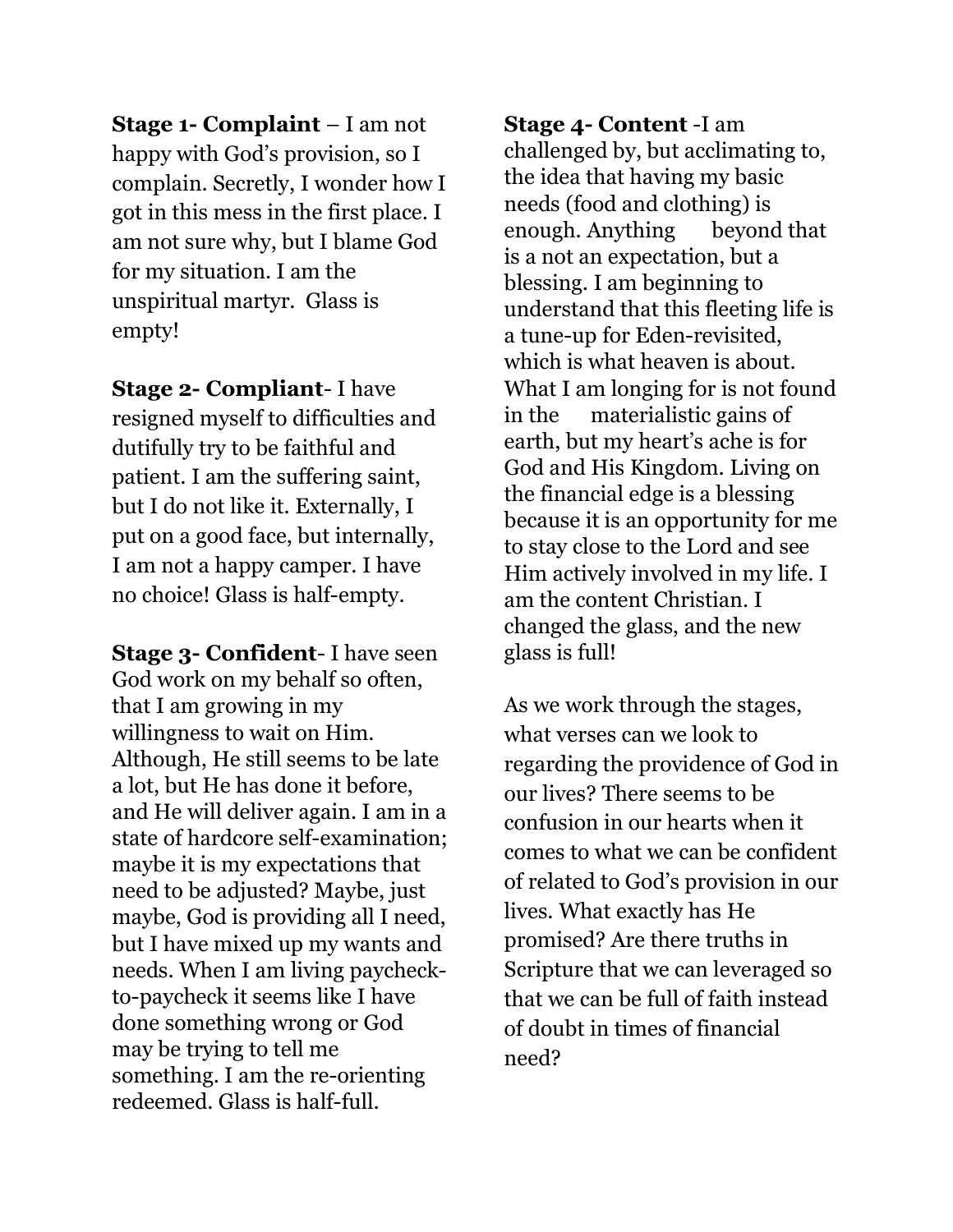Stage 1- Complaint – I am not happy with God's provision, so I complain. Secretly, I wonder how I got in this mess in the first place. I am not sure why, but I blame God for my situation. I am the unspiritual martyr. Glass is empty!

Stage 2- Compliant- I have resigned myself to difficulties and dutifully try to be faithful and patient. I am the suffering saint, but I do not like it. Externally, I put on a good face, but internally, I am not a happy camper. I have no choice! Glass is half-empty.

Stage 3- Confident- I have seen God work on my behalf so often, that I am growing in my willingness to wait on Him. Although, He still seems to be late a lot, but He has done it before, and He will deliver again. I am in a state of hardcore self-examination; maybe it is my expectations that need to be adjusted? Maybe, just maybe, God is providing all I need, but I have mixed up my wants and needs. When I am living paycheckto-paycheck it seems like I have done something wrong or God may be trying to tell me something. I am the re-orienting redeemed. Glass is half-full.

Stage 4- Content -I am challenged by, but acclimating to, the idea that having my basic needs (food and clothing) is enough. Anything beyond that is a not an expectation, but a blessing. I am beginning to understand that this fleeting life is a tune-up for Eden-revisited, which is what heaven is about. What I am longing for is not found in the materialistic gains of earth, but my heart's ache is for God and His Kingdom. Living on the financial edge is a blessing because it is an opportunity for me to stay close to the Lord and see Him actively involved in my life. I am the content Christian. I changed the glass, and the new glass is full!

As we work through the stages, what verses can we look to regarding the providence of God in our lives? There seems to be confusion in our hearts when it comes to what we can be confident of related to God's provision in our lives. What exactly has He promised? Are there truths in Scripture that we can leveraged so that we can be full of faith instead of doubt in times of financial need?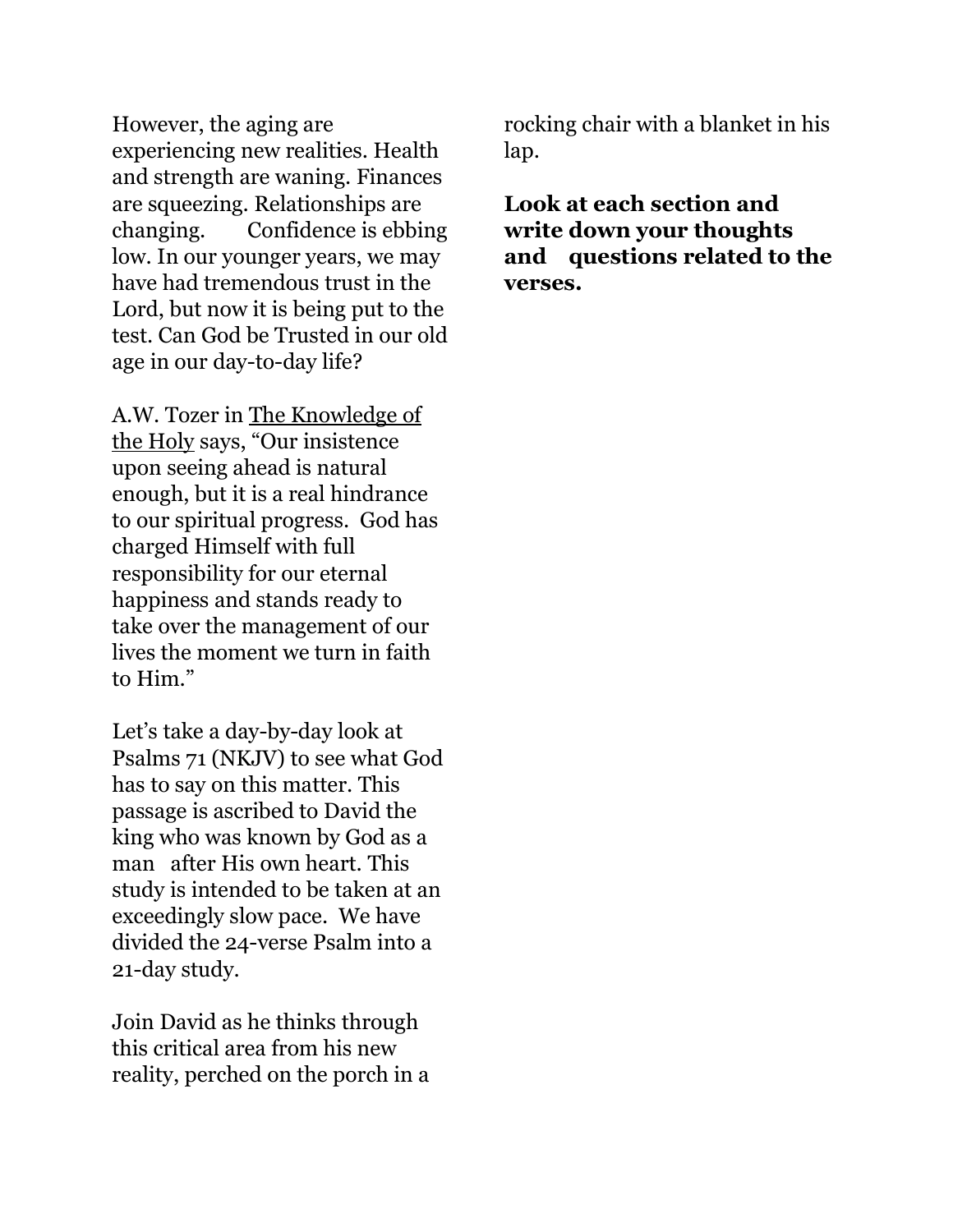However, the aging are experiencing new realities. Health and strength are waning. Finances are squeezing. Relationships are changing. Confidence is ebbing low. In our younger years, we may have had tremendous trust in the Lord, but now it is being put to the test. Can God be Trusted in our old age in our day-to-day life?

A.W. Tozer in The Knowledge of the Holy says, "Our insistence upon seeing ahead is natural enough, but it is a real hindrance to our spiritual progress. God has charged Himself with full responsibility for our eternal happiness and stands ready to take over the management of our lives the moment we turn in faith to Him."

Let's take a day-by-day look at Psalms 71 (NKJV) to see what God has to say on this matter. This passage is ascribed to David the king who was known by God as a man after His own heart. This study is intended to be taken at an exceedingly slow pace. We have divided the 24-verse Psalm into a 21-day study.

Join David as he thinks through this critical area from his new reality, perched on the porch in a rocking chair with a blanket in his lap.

Look at each section and write down your thoughts and questions related to the verses.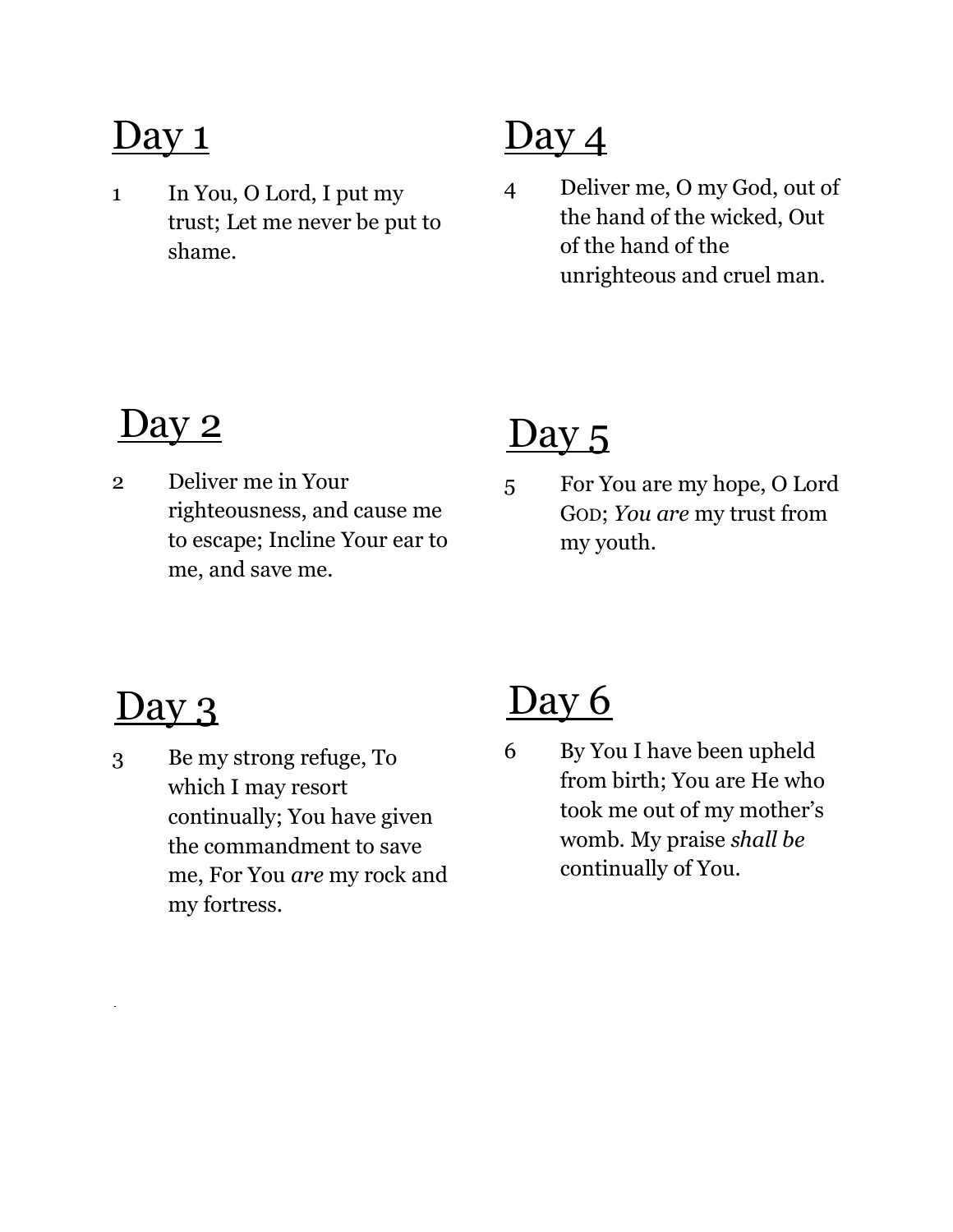1 In You, O Lord, I put my trust; Let me never be put to shame.

# Day 4

4 Deliver me, O my God, out of the hand of the wicked, Out of the hand of the unrighteous and cruel man.

## <u>Day 2</u>

2 Deliver me in Your righteousness, and cause me to escape; Incline Your ear to me, and save me.

## Day 5

5 For You are my hope, O Lord GOD; You are my trust from my youth.

# <u>) ay 3</u>

 $\overline{a}$ 

3 Be my strong refuge, To which I may resort continually; You have given the commandment to save me, For You are my rock and my fortress.

# Day 6

6 By You I have been upheld from birth; You are He who took me out of my mother's womb. My praise shall be continually of You.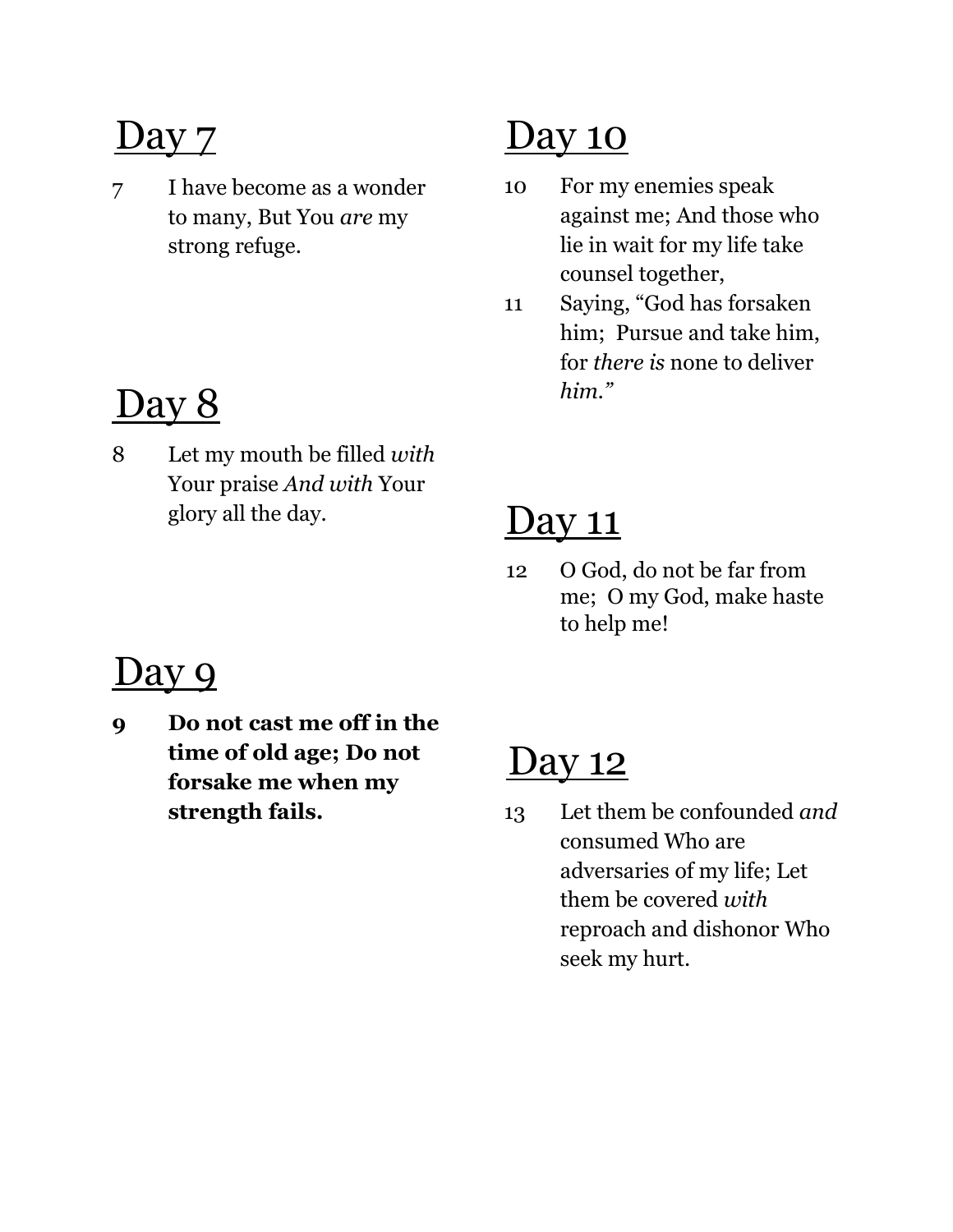7 I have become as a wonder to many, But You are my strong refuge.

# Day 8

8 Let my mouth be filled with Your praise And with Your glory all the day.

# Da<u>y</u> 10

- 10 For my enemies speak against me; And those who lie in wait for my life take counsel together,
- 11 Saying, "God has forsaken him; Pursue and take him, for there is none to deliver him."

## <u>Day 11</u>

12 O God, do not be far from me; O my God, make haste to help me!

## Day 9

9 Do not cast me off in the time of old age; Do not forsake me when my strength fails.

#### <u>Day 12</u>

13 Let them be confounded and consumed Who are adversaries of my life; Let them be covered with reproach and dishonor Who seek my hurt.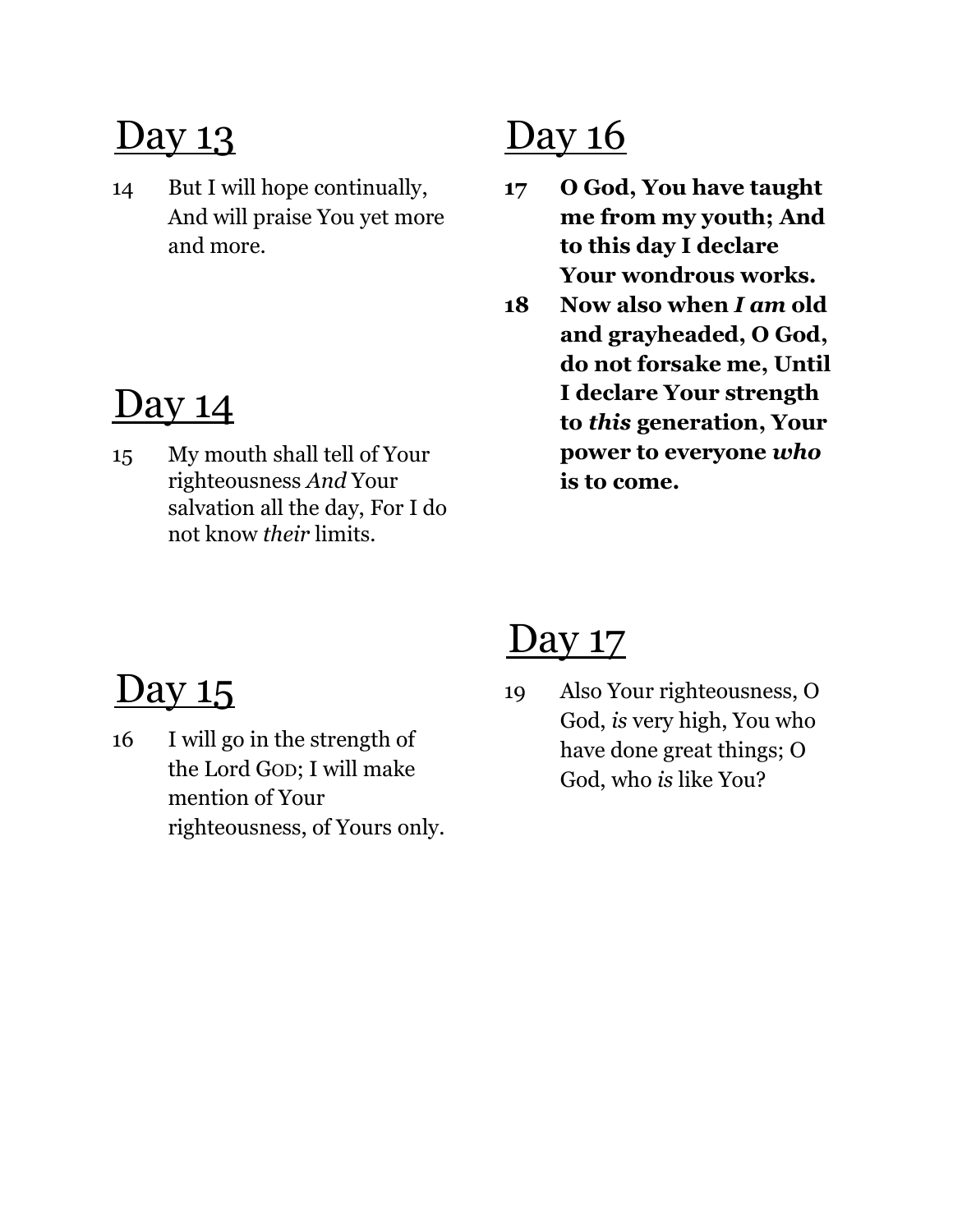14 But I will hope continually, And will praise You yet more and more.

#### Day 14

15 My mouth shall tell of Your righteousness And Your salvation all the day, For I do not know their limits.

# Day 16

- 17 O God, You have taught me from my youth; And to this day I declare Your wondrous works.
- 18 Now also when I am old and grayheaded, O God, do not forsake me, Until I declare Your strength to this generation, Your power to everyone who is to come.

# Day 15

16 I will go in the strength of the Lord GOD; I will make mention of Your righteousness, of Yours only.

#### <u>Day 17</u>

19 Also Your righteousness, O God, is very high, You who have done great things; O God, who is like You?